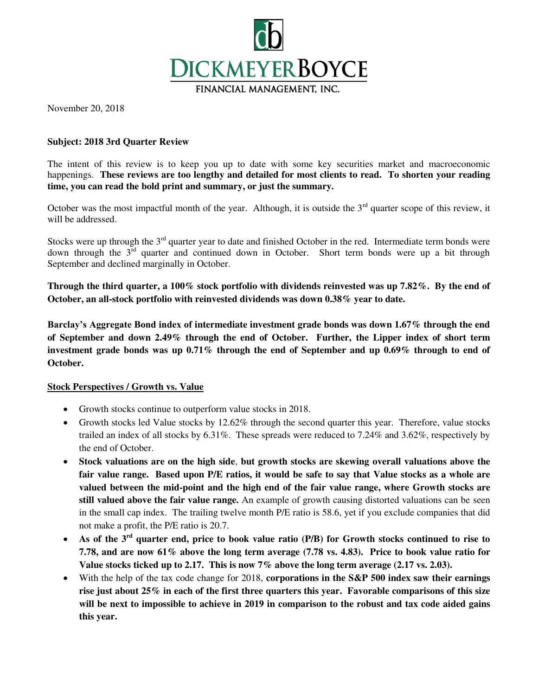

November 20, 2018

### **Subject: 2018 3rd Quarter Review**

The intent of this review is to keep you up to date with some key securities market and macroeconomic happenings. **These reviews are too lengthy and detailed for most clients to read. To shorten your reading time, you can read the bold print and summary, or just the summary.** 

October was the most impactful month of the year. Although, it is outside the  $3<sup>rd</sup>$  quarter scope of this review, it will be addressed.

Stocks were up through the  $3<sup>rd</sup>$  quarter year to date and finished October in the red. Intermediate term bonds were down through the 3<sup>rd</sup> quarter and continued down in October. Short term bonds were up a bit through September and declined marginally in October.

**Through the third quarter, a 100% stock portfolio with dividends reinvested was up 7.82%. By the end of October, an all-stock portfolio with reinvested dividends was down 0.38% year to date.** 

**Barclay's Aggregate Bond index of intermediate investment grade bonds was down 1.67% through the end of September and down 2.49% through the end of October. Further, the Lipper index of short term investment grade bonds was up 0.71% through the end of September and up 0.69% through to end of October.** 

#### **Stock Perspectives / Growth vs. Value**

- Growth stocks continue to outperform value stocks in 2018.
- Growth stocks led Value stocks by 12.62% through the second quarter this year. Therefore, value stocks trailed an index of all stocks by 6.31%. These spreads were reduced to 7.24% and 3.62%, respectively by the end of October.
- **Stock valuations are on the high side**, **but growth stocks are skewing overall valuations above the fair value range. Based upon P/E ratios, it would be safe to say that Value stocks as a whole are valued between the mid-point and the high end of the fair value range, where Growth stocks are still valued above the fair value range.** An example of growth causing distorted valuations can be seen in the small cap index. The trailing twelve month P/E ratio is 58.6, yet if you exclude companies that did not make a profit, the P/E ratio is 20.7.
- **As of the 3rd quarter end, price to book value ratio (P/B) for Growth stocks continued to rise to 7.78, and are now 61% above the long term average (7.78 vs. 4.83). Price to book value ratio for Value stocks ticked up to 2.17. This is now 7% above the long term average (2.17 vs. 2.03).**
- With the help of the tax code change for 2018, **corporations in the S&P 500 index saw their earnings rise just about 25% in each of the first three quarters this year. Favorable comparisons of this size will be next to impossible to achieve in 2019 in comparison to the robust and tax code aided gains this year.**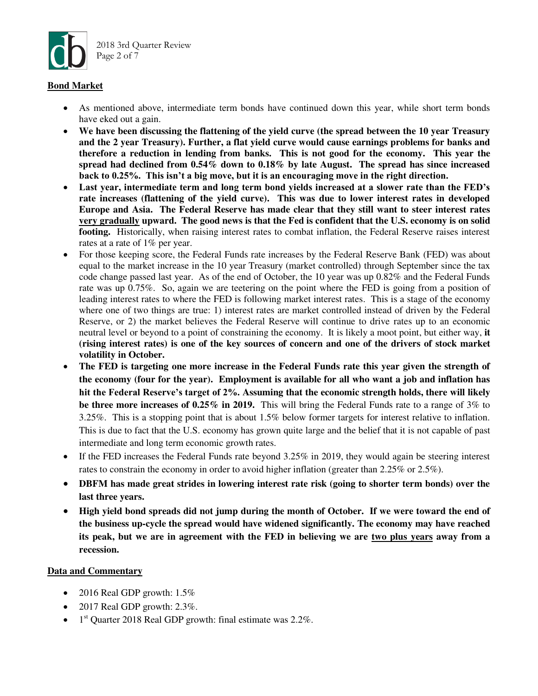

#### **Bond Market**

- As mentioned above, intermediate term bonds have continued down this year, while short term bonds have eked out a gain.
- **We have been discussing the flattening of the yield curve (the spread between the 10 year Treasury and the 2 year Treasury). Further, a flat yield curve would cause earnings problems for banks and therefore a reduction in lending from banks. This is not good for the economy. This year the spread had declined from 0.54% down to 0.18% by late August. The spread has since increased back to 0.25%. This isn't a big move, but it is an encouraging move in the right direction.**
- **Last year, intermediate term and long term bond yields increased at a slower rate than the FED's rate increases (flattening of the yield curve). This was due to lower interest rates in developed Europe and Asia. The Federal Reserve has made clear that they still want to steer interest rates very gradually upward. The good news is that the Fed is confident that the U.S. economy is on solid footing.** Historically, when raising interest rates to combat inflation, the Federal Reserve raises interest rates at a rate of 1% per year.
- For those keeping score, the Federal Funds rate increases by the Federal Reserve Bank (FED) was about equal to the market increase in the 10 year Treasury (market controlled) through September since the tax code change passed last year. As of the end of October, the 10 year was up 0.82% and the Federal Funds rate was up 0.75%. So, again we are teetering on the point where the FED is going from a position of leading interest rates to where the FED is following market interest rates. This is a stage of the economy where one of two things are true: 1) interest rates are market controlled instead of driven by the Federal Reserve, or 2) the market believes the Federal Reserve will continue to drive rates up to an economic neutral level or beyond to a point of constraining the economy. It is likely a moot point, but either way, **it (rising interest rates) is one of the key sources of concern and one of the drivers of stock market volatility in October.**
- **The FED is targeting one more increase in the Federal Funds rate this year given the strength of the economy (four for the year). Employment is available for all who want a job and inflation has hit the Federal Reserve's target of 2%. Assuming that the economic strength holds, there will likely be three more increases of 0.25% in 2019.** This will bring the Federal Funds rate to a range of 3% to 3.25%. This is a stopping point that is about 1.5% below former targets for interest relative to inflation. This is due to fact that the U.S. economy has grown quite large and the belief that it is not capable of past intermediate and long term economic growth rates.
- If the FED increases the Federal Funds rate beyond  $3.25\%$  in 2019, they would again be steering interest rates to constrain the economy in order to avoid higher inflation (greater than 2.25% or 2.5%).
- **DBFM has made great strides in lowering interest rate risk (going to shorter term bonds) over the last three years.**
- **High yield bond spreads did not jump during the month of October. If we were toward the end of the business up-cycle the spread would have widened significantly. The economy may have reached its peak, but we are in agreement with the FED in believing we are two plus years away from a recession.**

#### **Data and Commentary**

- 2016 Real GDP growth:  $1.5\%$
- $\bullet$  2017 Real GDP growth: 2.3%.
- $\bullet$  1<sup>st</sup> Quarter 2018 Real GDP growth: final estimate was 2.2%.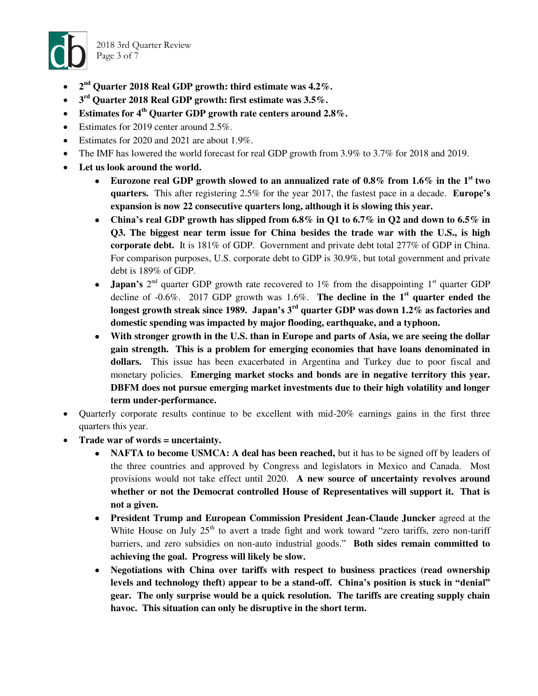

2018 3rd Quarter Review Page 3 of 7

- 2<sup>nd</sup> Quarter 2018 Real GDP growth: third estimate was 4.2%.
- **3 rd Quarter 2018 Real GDP growth: first estimate was 3.5%.**
- **Estimates for 4th Quarter GDP growth rate centers around 2.8%.**
- Estimates for 2019 center around 2.5%.
- Estimates for 2020 and 2021 are about 1.9%.
- The IMF has lowered the world forecast for real GDP growth from 3.9% to 3.7% for 2018 and 2019.
- **Let us look around the world.** 
	- **Eurozone real GDP growth slowed to an annualized rate of 0.8% from 1.6% in the 1st two quarters.** This after registering 2.5% for the year 2017, the fastest pace in a decade. **Europe's expansion is now 22 consecutive quarters long, although it is slowing this year.**
	- **China's real GDP growth has slipped from 6.8% in Q1 to 6.7% in Q2 and down to 6.5% in Q3. The biggest near term issue for China besides the trade war with the U.S., is high corporate debt.** It is 181% of GDP. Government and private debt total 277% of GDP in China. For comparison purposes, U.S. corporate debt to GDP is 30.9%, but total government and private debt is 189% of GDP.
	- **Japan's**  $2^{nd}$  quarter GDP growth rate recovered to 1% from the disappointing 1<sup>st</sup> quarter GDP decline of -0.6%. 2017 GDP growth was 1.6%. **The decline in the 1st quarter ended the longest growth streak since 1989. Japan's 3rd quarter GDP was down 1.2% as factories and domestic spending was impacted by major flooding, earthquake, and a typhoon.**
	- **With stronger growth in the U.S. than in Europe and parts of Asia, we are seeing the dollar gain strength. This is a problem for emerging economies that have loans denominated in dollars.** This issue has been exacerbated in Argentina and Turkey due to poor fiscal and monetary policies. **Emerging market stocks and bonds are in negative territory this year. DBFM does not pursue emerging market investments due to their high volatility and longer term under-performance.**
- Quarterly corporate results continue to be excellent with mid-20% earnings gains in the first three quarters this year.
- **Trade war of words = uncertainty.** 
	- **NAFTA to become USMCA: A deal has been reached,** but it has to be signed off by leaders of the three countries and approved by Congress and legislators in Mexico and Canada. Most provisions would not take effect until 2020. **A new source of uncertainty revolves around whether or not the Democrat controlled House of Representatives will support it. That is not a given.**
	- **President Trump and European Commission President Jean-Claude Juncker** agreed at the White House on July  $25<sup>th</sup>$  to avert a trade fight and work toward "zero tariffs, zero non-tariff barriers, and zero subsidies on non-auto industrial goods." **Both sides remain committed to achieving the goal. Progress will likely be slow.**
	- **Negotiations with China over tariffs with respect to business practices (read ownership levels and technology theft) appear to be a stand-off. China's position is stuck in "denial" gear. The only surprise would be a quick resolution. The tariffs are creating supply chain havoc. This situation can only be disruptive in the short term.**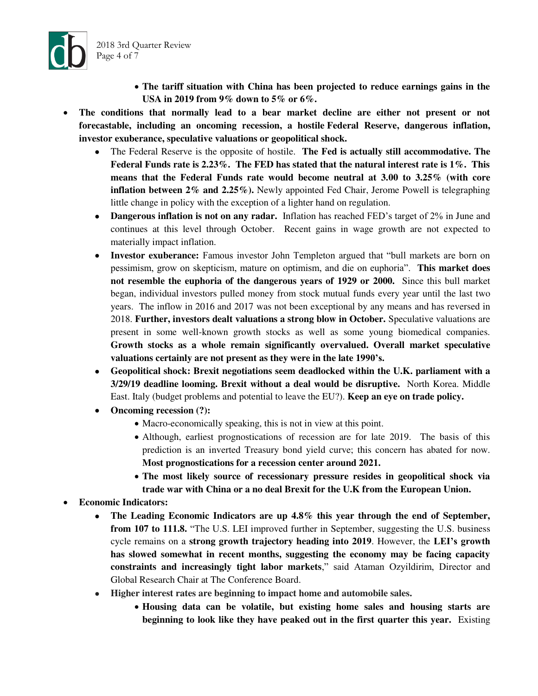



- **The conditions that normally lead to a bear market decline are either not present or not forecastable, including an oncoming recession, a hostile [Fede](https://www.cnbc.com/id/43752521)ral Reserve, dangerous inflation, investor exuberance, speculative valuations or geopolitical shock.** 
	- The Federal Reserve is the opposite of hostile. **The Fed is actually still accommodative. The Federal Funds rate is 2.23%. The FED has stated that the natural interest rate is 1%. This means that the Federal Funds rate would become neutral at 3.00 to 3.25% (with core inflation between 2% and 2.25%).** Newly appointed Fed Chair, Jerome Powell is telegraphing little change in policy with the exception of a lighter hand on regulation.
	- **Dangerous inflation is not on any radar.** Inflation has reached FED's target of 2% in June and continues at this level through October. Recent gains in wage growth are not expected to materially impact inflation.
	- **Investor exuberance:** Famous investor John Templeton argued that "bull markets are born on pessimism, grow on skepticism, mature on optimism, and die on euphoria". **This market does not resemble the euphoria of the dangerous years of 1929 or 2000.** Since this bull market began, individual investors pulled money from stock mutual funds every year until the last two years. The inflow in 2016 and 2017 was not been exceptional by any means and has reversed in 2018. **Further, investors dealt valuations a strong blow in October.** Speculative valuations are present in some well-known growth stocks as well as some young biomedical companies. **Growth stocks as a whole remain significantly overvalued. Overall market speculative valuations certainly are not present as they were in the late 1990's.**
	- **Geopolitical shock: Brexit negotiations seem deadlocked within the U.K. parliament with a 3/29/19 deadline looming. Brexit without a deal would be disruptive.** North Korea. Middle East. Italy (budget problems and potential to leave the EU?). **Keep an eye on trade policy.**
	- **Oncoming recession (?):** 
		- Macro-economically speaking, this is not in view at this point.
		- Although, earliest prognostications of recession are for late 2019. The basis of this prediction is an inverted Treasury bond yield curve; this concern has abated for now. **Most prognostications for a recession center around 2021.**
		- **The most likely source of recessionary pressure resides in geopolitical shock via trade war with China or a no deal Brexit for the U.K from the European Union.**
- **Economic Indicators:** 
	- **The Leading Economic Indicators are up 4.8% this year through the end of September, from 107 to 111.8.** "The U.S. LEI improved further in September, suggesting the U.S. business cycle remains on a **strong growth trajectory heading into 2019**. However, the **LEI's growth has slowed somewhat in recent months, suggesting the economy may be facing capacity constraints and increasingly tight labor markets**," said Ataman Ozyildirim, Director and Global Research Chair at The Conference Board.
	- **Higher interest rates are beginning to impact home and automobile sales.** 
		- **Housing data can be volatile, but existing home sales and housing starts are beginning to look like they have peaked out in the first quarter this year.** Existing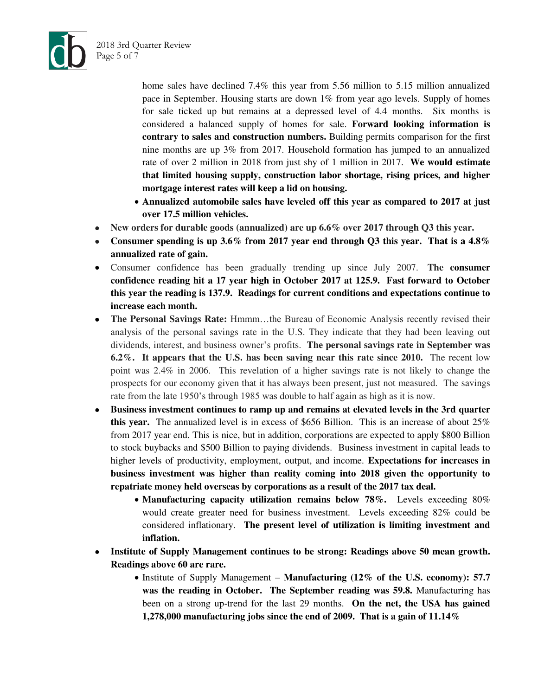

2018 3rd Quarter Review

Page 5 of 7

home sales have declined 7.4% this year from 5.56 million to 5.15 million annualized pace in September. Housing starts are down 1% from year ago levels. Supply of homes for sale ticked up but remains at a depressed level of 4.4 months. Six months is considered a balanced supply of homes for sale. **Forward looking information is contrary to sales and construction numbers.** Building permits comparison for the first nine months are up 3% from 2017. Household formation has jumped to an annualized rate of over 2 million in 2018 from just shy of 1 million in 2017. **We would estimate that limited housing supply, construction labor shortage, rising prices, and higher mortgage interest rates will keep a lid on housing.** 

- **Annualized automobile sales have leveled off this year as compared to 2017 at just over 17.5 million vehicles.**
- **New orders for durable goods (annualized) are up 6.6% over 2017 through Q3 this year.**
- **Consumer spending is up 3.6% from 2017 year end through Q3 this year. That is a 4.8% annualized rate of gain.**
- Consumer confidence has been gradually trending up since July 2007. **The consumer confidence reading hit a 17 year high in October 2017 at 125.9. Fast forward to October this year the reading is 137.9. Readings for current conditions and expectations continue to increase each month.**
- **The Personal Savings Rate:** Hmmm…the Bureau of Economic Analysis recently revised their analysis of the personal savings rate in the U.S. They indicate that they had been leaving out dividends, interest, and business owner's profits. **The personal savings rate in September was 6.2%. It appears that the U.S. has been saving near this rate since 2010.** The recent low point was 2.4% in 2006. This revelation of a higher savings rate is not likely to change the prospects for our economy given that it has always been present, just not measured. The savings rate from the late 1950's through 1985 was double to half again as high as it is now.
- **Business investment continues to ramp up and remains at elevated levels in the 3rd quarter this year.** The annualized level is in excess of \$656 Billion. This is an increase of about 25% from 2017 year end. This is nice, but in addition, corporations are expected to apply \$800 Billion to stock buybacks and \$500 Billion to paying dividends.Business investment in capital leads to higher levels of productivity, employment, output, and income. **Expectations for increases in business investment was higher than reality coming into 2018 given the opportunity to repatriate money held overseas by corporations as a result of the 2017 tax deal.**
	- **Manufacturing capacity utilization remains below 78%.** Levels exceeding 80% would create greater need for business investment. Levels exceeding 82% could be considered inflationary. **The present level of utilization is limiting investment and inflation.**
- **Institute of Supply Management continues to be strong: Readings above 50 mean growth. Readings above 60 are rare.**
	- Institute of Supply Management **Manufacturing (12% of the U.S. economy): 57.7 was the reading in October. The September reading was 59.8.** Manufacturing has been on a strong up-trend for the last 29 months. **On the net, the USA has gained 1,278,000 manufacturing jobs since the end of 2009. That is a gain of 11.14%**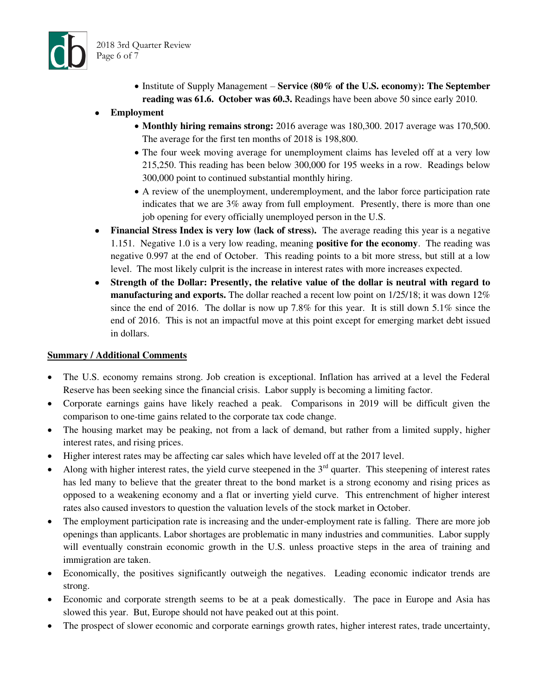

• Institute of Supply Management – Service (80% of the U.S. economy): The September **reading was 61.6. October was 60.3.** Readings have been above 50 since early 2010.

# **Employment**

- **Monthly hiring remains strong:** 2016 average was 180,300. 2017 average was 170,500. The average for the first ten months of 2018 is 198,800.
- The four week moving average for unemployment claims has leveled off at a very low 215,250. This reading has been below 300,000 for 195 weeks in a row. Readings below 300,000 point to continued substantial monthly hiring.
- A review of the unemployment, underemployment, and the labor force participation rate indicates that we are 3% away from full employment. Presently, there is more than one job opening for every officially unemployed person in the U.S.
- Financial Stress Index is very low (lack of stress). The average reading this year is a negative 1.151. Negative 1.0 is a very low reading, meaning **positive for the economy**. The reading was negative 0.997 at the end of October. This reading points to a bit more stress, but still at a low level. The most likely culprit is the increase in interest rates with more increases expected.
- **Strength of the Dollar: Presently, the relative value of the dollar is neutral with regard to manufacturing and exports.** The dollar reached a recent low point on 1/25/18; it was down 12% since the end of 2016. The dollar is now up 7.8% for this year. It is still down 5.1% since the end of 2016. This is not an impactful move at this point except for emerging market debt issued in dollars.

## **Summary / Additional Comments**

- The U.S. economy remains strong. Job creation is exceptional. Inflation has arrived at a level the Federal Reserve has been seeking since the financial crisis. Labor supply is becoming a limiting factor.
- Corporate earnings gains have likely reached a peak. Comparisons in 2019 will be difficult given the comparison to one-time gains related to the corporate tax code change.
- The housing market may be peaking, not from a lack of demand, but rather from a limited supply, higher interest rates, and rising prices.
- Higher interest rates may be affecting car sales which have leveled off at the 2017 level.
- Along with higher interest rates, the yield curve steepened in the  $3<sup>rd</sup>$  quarter. This steepening of interest rates has led many to believe that the greater threat to the bond market is a strong economy and rising prices as opposed to a weakening economy and a flat or inverting yield curve. This entrenchment of higher interest rates also caused investors to question the valuation levels of the stock market in October.
- The employment participation rate is increasing and the under-employment rate is falling. There are more job openings than applicants. Labor shortages are problematic in many industries and communities. Labor supply will eventually constrain economic growth in the U.S. unless proactive steps in the area of training and immigration are taken.
- Economically, the positives significantly outweigh the negatives. Leading economic indicator trends are strong.
- Economic and corporate strength seems to be at a peak domestically. The pace in Europe and Asia has slowed this year. But, Europe should not have peaked out at this point.
- The prospect of slower economic and corporate earnings growth rates, higher interest rates, trade uncertainty,